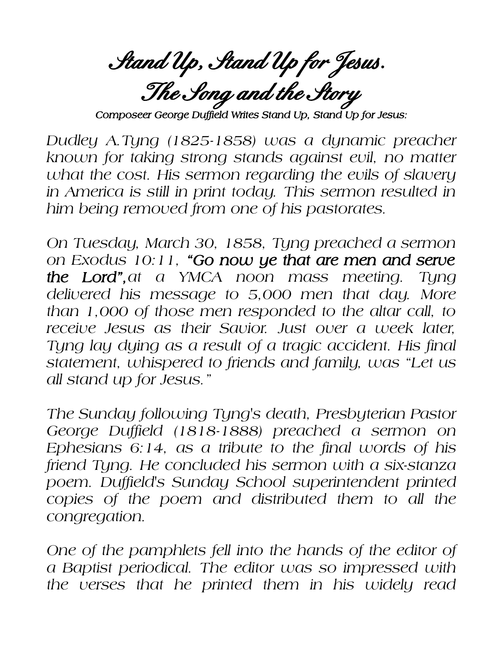**Stand Up, Stand Up for Jesus. The Song and the Story**

*Composeer George Duffield Writes Stand Up, Stand Up for Jesus:*

*Dudley A.Tyng (1825-1858) was a dynamic preacher known for taking strong stands against evil, no matter what the cost. His sermon regarding the evils of slavery in America is still in print today. This sermon resulted in him being removed from one of his pastorates.*

*On Tuesday, March 30, 1858, Tyng preached a sermon on Exodus 10:11, "Go now ye that are men and serve the Lord",at a YMCA noon mass meeting. Tyng delivered his message to 5,000 men that day. More than 1,000 of those men responded to the altar call, to receive Jesus as their Savior. Just over a week later, Tyng lay dying as a result of a tragic accident. His final statement, whispered to friends and family, was "Let us all stand up for Jesus."*

*The Sunday following Tyng's death, Presbyterian Pastor George Duffield (1818-1888) preached a sermon on Ephesians 6:14, as a tribute to the final words of his friend Tyng. He concluded his sermon with a six-stanza poem. Duffield's Sunday School superintendent printed copies of the poem and distributed them to all the congregation.*

*One of the pamphlets fell into the hands of the editor of a Baptist periodical. The editor was so impressed with the verses that he printed them in his widely read*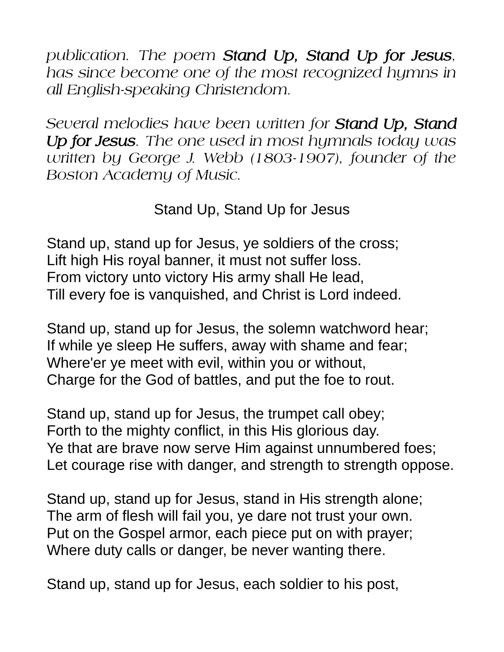*publication. The poem Stand Up, Stand Up for Jesus, has since become one of the most recognized hymns in all English-speaking Christendom.*

*Several melodies have been written for Stand Up, Stand Up for Jesus. The one used in most hymnals today was written by George J. Webb (1803-1907), founder of the Boston Academy of Music.*

Stand Up, Stand Up for Jesus

Stand up, stand up for Jesus, ye soldiers of the cross; Lift high His royal banner, it must not suffer loss. From victory unto victory His army shall He lead, Till every foe is vanquished, and Christ is Lord indeed.

Stand up, stand up for Jesus, the solemn watchword hear; If while ye sleep He suffers, away with shame and fear; Where'er ye meet with evil, within you or without, Charge for the God of battles, and put the foe to rout.

Stand up, stand up for Jesus, the trumpet call obey; Forth to the mighty conflict, in this His glorious day. Ye that are brave now serve Him against unnumbered foes; Let courage rise with danger, and strength to strength oppose.

Stand up, stand up for Jesus, stand in His strength alone; The arm of flesh will fail you, ye dare not trust your own. Put on the Gospel armor, each piece put on with prayer; Where duty calls or danger, be never wanting there.

Stand up, stand up for Jesus, each soldier to his post,